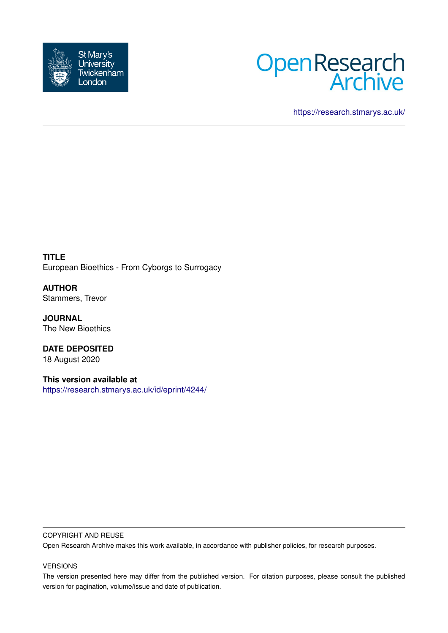



<https://research.stmarys.ac.uk/>

**TITLE** European Bioethics - From Cyborgs to Surrogacy

**AUTHOR** Stammers, Trevor

**JOURNAL** The New Bioethics

**DATE DEPOSITED** 18 August 2020

**This version available at** <https://research.stmarys.ac.uk/id/eprint/4244/>

## COPYRIGHT AND REUSE

Open Research Archive makes this work available, in accordance with publisher policies, for research purposes.

## VERSIONS

The version presented here may differ from the published version. For citation purposes, please consult the published version for pagination, volume/issue and date of publication.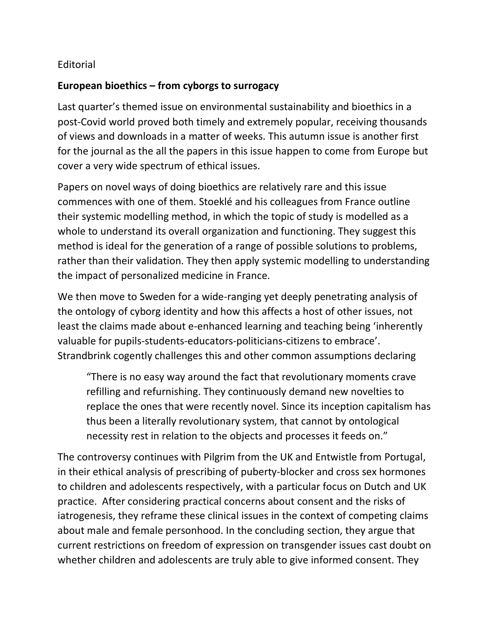## **Editorial**

## **European bioethics – from cyborgs to surrogacy**

Last quarter's themed issue on environmental sustainability and bioethics in a post-Covid world proved both timely and extremely popular, receiving thousands of views and downloads in a matter of weeks. This autumn issue is another first for the journal as the all the papers in this issue happen to come from Europe but cover a very wide spectrum of ethical issues.

Papers on novel ways of doing bioethics are relatively rare and this issue commences with one of them. Stoeklé and his colleagues from France outline their systemic modelling method, in which the topic of study is modelled as a whole to understand its overall organization and functioning. They suggest this method is ideal for the generation of a range of possible solutions to problems, rather than their validation. They then apply systemic modelling to understanding the impact of personalized medicine in France.

We then move to Sweden for a wide-ranging yet deeply penetrating analysis of the ontology of cyborg identity and how this affects a host of other issues, not least the claims made about e-enhanced learning and teaching being 'inherently valuable for pupils-students-educators-politicians-citizens to embrace'. Strandbrink cogently challenges this and other common assumptions declaring

"There is no easy way around the fact that revolutionary moments crave refilling and refurnishing. They continuously demand new novelties to replace the ones that were recently novel. Since its inception capitalism has thus been a literally revolutionary system, that cannot by ontological necessity rest in relation to the objects and processes it feeds on."

The controversy continues with Pilgrim from the UK and Entwistle from Portugal, in their ethical analysis of prescribing of puberty-blocker and cross sex hormones to children and adolescents respectively, with a particular focus on Dutch and UK practice. After considering practical concerns about consent and the risks of iatrogenesis, they reframe these clinical issues in the context of competing claims about male and female personhood. In the concluding section, they argue that current restrictions on freedom of expression on transgender issues cast doubt on whether children and adolescents are truly able to give informed consent. They